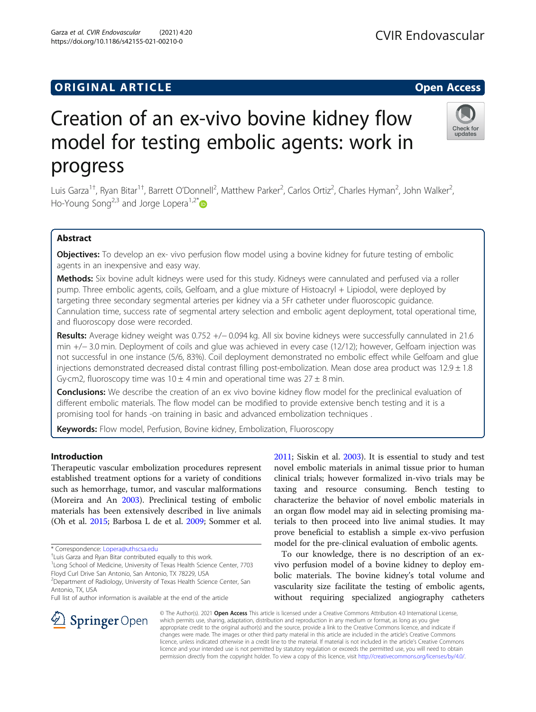# **ORIGINAL ARTICLE CONSERVANCE IN A LOCAL CONSERVANCE IN A LOCAL CONSERVANCE IN A LOCAL CONSERVANCE IN A LOCAL CONS**

# Creation of an ex-vivo bovine kidney flow model for testing embolic agents: work in progress

Luis Garza<sup>1†</sup>, Ryan Bitar<sup>1†</sup>, Barrett O'Donnell<sup>2</sup>, Matthew Parker<sup>2</sup>, Carlos Ortiz<sup>2</sup>, Charles Hyman<sup>2</sup>, John Walker<sup>2</sup> , Ho-Young Song<sup>2,3</sup> and Jorge Lopera<sup>1,2[\\*](http://orcid.org/0000-0003-0113-4214)</sup>

# Abstract

**Objectives:** To develop an ex- vivo perfusion flow model using a bovine kidney for future testing of embolic agents in an inexpensive and easy way.

Methods: Six bovine adult kidneys were used for this study. Kidneys were cannulated and perfused via a roller pump. Three embolic agents, coils, Gelfoam, and a glue mixture of Histoacryl + Lipiodol, were deployed by targeting three secondary segmental arteries per kidney via a 5Fr catheter under fluoroscopic guidance. Cannulation time, success rate of segmental artery selection and embolic agent deployment, total operational time, and fluoroscopy dose were recorded.

Results: Average kidney weight was 0.752 +/− 0.094 kg. All six bovine kidneys were successfully cannulated in 21.6 min +/− 3.0 min. Deployment of coils and glue was achieved in every case (12/12); however, Gelfoam injection was not successful in one instance (5/6, 83%). Coil deployment demonstrated no embolic effect while Gelfoam and glue injections demonstrated decreased distal contrast filling post-embolization. Mean dose area product was  $12.9 \pm 1.8$ Gy·cm2, fluoroscopy time was  $10 \pm 4$  min and operational time was  $27 \pm 8$  min.

**Conclusions:** We describe the creation of an ex vivo bovine kidney flow model for the preclinical evaluation of different embolic materials. The flow model can be modified to provide extensive bench testing and it is a promising tool for hands -on training in basic and advanced embolization techniques .

Keywords: Flow model, Perfusion, Bovine kidney, Embolization, Fluoroscopy

### Introduction

Therapeutic vascular embolization procedures represent established treatment options for a variety of conditions such as hemorrhage, tumor, and vascular malformations (Moreira and An [2003](#page-5-0)). Preclinical testing of embolic materials has been extensively described in live animals (Oh et al. [2015;](#page-5-0) Barbosa L de et al. [2009;](#page-5-0) Sommer et al.

SpringerOpen

<sup>1</sup> Long School of Medicine, University of Texas Health Science Center, 7703

Floyd Curl Drive San Antonio, San Antonio, TX 78229, USA <sup>2</sup> Department of Radiology, University of Texas Health Science Center, San

Antonio, TX, USA

Full list of author information is available at the end of the article

[2011](#page-5-0); Siskin et al. [2003](#page-5-0)). It is essential to study and test novel embolic materials in animal tissue prior to human clinical trials; however formalized in-vivo trials may be taxing and resource consuming. Bench testing to characterize the behavior of novel embolic materials in an organ flow model may aid in selecting promising materials to then proceed into live animal studies. It may prove beneficial to establish a simple ex-vivo perfusion model for the pre-clinical evaluation of embolic agents.

To our knowledge, there is no description of an exvivo perfusion model of a bovine kidney to deploy embolic materials. The bovine kidney's total volume and vascularity size facilitate the testing of embolic agents, without requiring specialized angiography catheters

© The Author(s). 2021 Open Access This article is licensed under a Creative Commons Attribution 4.0 International License, which permits use, sharing, adaptation, distribution and reproduction in any medium or format, as long as you give appropriate credit to the original author(s) and the source, provide a link to the Creative Commons licence, and indicate if changes were made. The images or other third party material in this article are included in the article's Creative Commons licence, unless indicated otherwise in a credit line to the material. If material is not included in the article's Creative Commons licence and your intended use is not permitted by statutory regulation or exceeds the permitted use, you will need to obtain permission directly from the copyright holder. To view a copy of this licence, visit <http://creativecommons.org/licenses/by/4.0/>.







<sup>\*</sup> Correspondence: [Lopera@uthscsa.edu](mailto:Lopera@uthscsa.edu) †

Luis Garza and Ryan Bitar contributed equally to this work.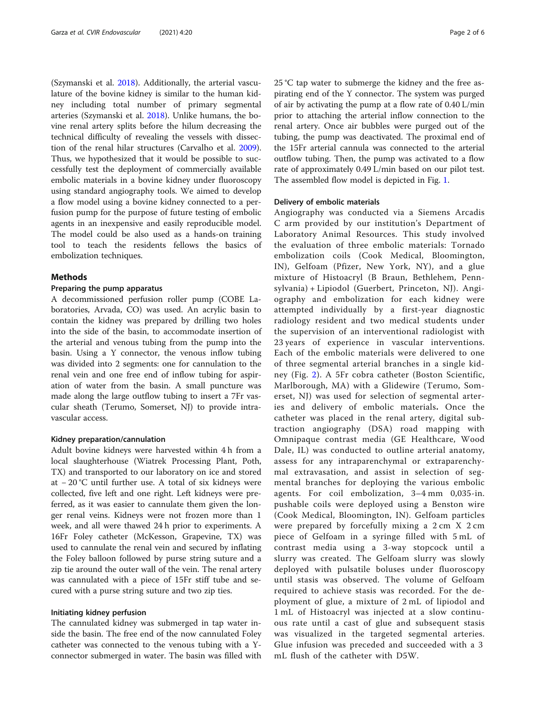(Szymanski et al. [2018](#page-5-0)). Additionally, the arterial vasculature of the bovine kidney is similar to the human kidney including total number of primary segmental arteries (Szymanski et al. [2018](#page-5-0)). Unlike humans, the bovine renal artery splits before the hilum decreasing the technical difficulty of revealing the vessels with dissection of the renal hilar structures (Carvalho et al. [2009](#page-5-0)). Thus, we hypothesized that it would be possible to successfully test the deployment of commercially available embolic materials in a bovine kidney under fluoroscopy using standard angiography tools. We aimed to develop a flow model using a bovine kidney connected to a perfusion pump for the purpose of future testing of embolic agents in an inexpensive and easily reproducible model. The model could be also used as a hands-on training tool to teach the residents fellows the basics of embolization techniques.

#### Methods

#### Preparing the pump apparatus

A decommissioned perfusion roller pump (COBE Laboratories, Arvada, CO) was used. An acrylic basin to contain the kidney was prepared by drilling two holes into the side of the basin, to accommodate insertion of the arterial and venous tubing from the pump into the basin. Using a Y connector, the venous inflow tubing was divided into 2 segments: one for cannulation to the renal vein and one free end of inflow tubing for aspiration of water from the basin. A small puncture was made along the large outflow tubing to insert a 7Fr vascular sheath (Terumo, Somerset, NJ) to provide intravascular access.

#### Kidney preparation/cannulation

Adult bovine kidneys were harvested within 4 h from a local slaughterhouse (Wiatrek Processing Plant, Poth, TX) and transported to our laboratory on ice and stored at − 20 °C until further use. A total of six kidneys were collected, five left and one right. Left kidneys were preferred, as it was easier to cannulate them given the longer renal veins. Kidneys were not frozen more than 1 week, and all were thawed 24 h prior to experiments. A 16Fr Foley catheter (McKesson, Grapevine, TX) was used to cannulate the renal vein and secured by inflating the Foley balloon followed by purse string suture and a zip tie around the outer wall of the vein. The renal artery was cannulated with a piece of 15Fr stiff tube and secured with a purse string suture and two zip ties.

#### Initiating kidney perfusion

The cannulated kidney was submerged in tap water inside the basin. The free end of the now cannulated Foley catheter was connected to the venous tubing with a Yconnector submerged in water. The basin was filled with 25 °C tap water to submerge the kidney and the free aspirating end of the Y connector. The system was purged of air by activating the pump at a flow rate of 0.40 L/min prior to attaching the arterial inflow connection to the renal artery. Once air bubbles were purged out of the tubing, the pump was deactivated. The proximal end of the 15Fr arterial cannula was connected to the arterial outflow tubing. Then, the pump was activated to a flow rate of approximately 0.49 L/min based on our pilot test. The assembled flow model is depicted in Fig. [1](#page-2-0).

#### Delivery of embolic materials

Angiography was conducted via a Siemens Arcadis C arm provided by our institution's Department of Laboratory Animal Resources. This study involved the evaluation of three embolic materials: Tornado embolization coils (Cook Medical, Bloomington, IN), Gelfoam (Pfizer, New York, NY), and a glue mixture of Histoacryl (B Braun, Bethlehem, Pennsylvania) + Lipiodol (Guerbert, Princeton, NJ). Angiography and embolization for each kidney were attempted individually by a first-year diagnostic radiology resident and two medical students under the supervision of an interventional radiologist with 23 years of experience in vascular interventions. Each of the embolic materials were delivered to one of three segmental arterial branches in a single kidney (Fig. [2](#page-2-0)). A 5Fr cobra catheter (Boston Scientific, Marlborough, MA) with a Glidewire (Terumo, Somerset, NJ) was used for selection of segmental arteries and delivery of embolic materials. Once the catheter was placed in the renal artery, digital subtraction angiography (DSA) road mapping with Omnipaque contrast media (GE Healthcare, Wood Dale, IL) was conducted to outline arterial anatomy, assess for any intraparenchymal or extraparenchymal extravasation, and assist in selection of segmental branches for deploying the various embolic agents. For coil embolization, 3–4 mm 0,035-in. pushable coils were deployed using a Benston wire (Cook Medical, Bloomington, IN). Gelfoam particles were prepared by forcefully mixing a 2 cm X 2 cm piece of Gelfoam in a syringe filled with 5 mL of contrast media using a 3-way stopcock until a slurry was created. The Gelfoam slurry was slowly deployed with pulsatile boluses under fluoroscopy until stasis was observed. The volume of Gelfoam required to achieve stasis was recorded. For the deployment of glue, a mixture of 2 mL of lipiodol and 1 mL of Histoacryl was injected at a slow continuous rate until a cast of glue and subsequent stasis was visualized in the targeted segmental arteries. Glue infusion was preceded and succeeded with a 3 mL flush of the catheter with D5W.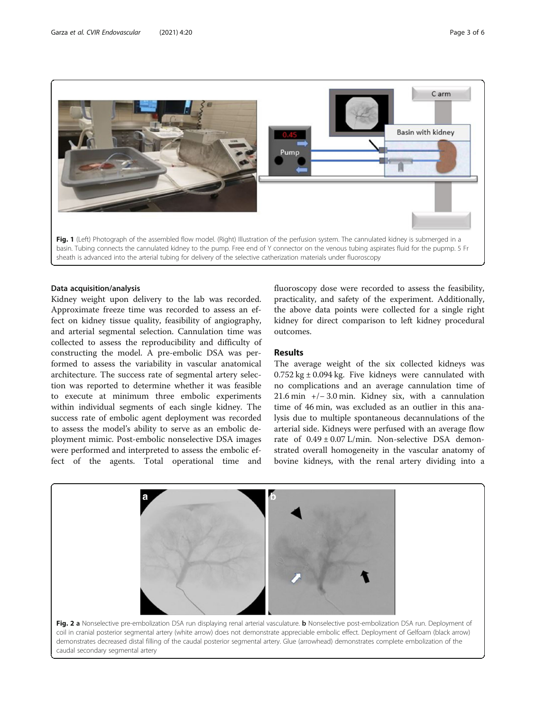<span id="page-2-0"></span>

#### Data acquisition/analysis

Kidney weight upon delivery to the lab was recorded. Approximate freeze time was recorded to assess an effect on kidney tissue quality, feasibility of angiography, and arterial segmental selection. Cannulation time was collected to assess the reproducibility and difficulty of constructing the model. A pre-embolic DSA was performed to assess the variability in vascular anatomical architecture. The success rate of segmental artery selection was reported to determine whether it was feasible to execute at minimum three embolic experiments within individual segments of each single kidney. The success rate of embolic agent deployment was recorded to assess the model's ability to serve as an embolic deployment mimic. Post-embolic nonselective DSA images were performed and interpreted to assess the embolic effect of the agents. Total operational time and fluoroscopy dose were recorded to assess the feasibility, practicality, and safety of the experiment. Additionally, the above data points were collected for a single right kidney for direct comparison to left kidney procedural outcomes.

## Results

The average weight of the six collected kidneys was  $0.752 \text{ kg} \pm 0.094 \text{ kg}$ . Five kidneys were cannulated with no complications and an average cannulation time of 21.6 min +/− 3.0 min. Kidney six, with a cannulation time of 46 min, was excluded as an outlier in this analysis due to multiple spontaneous decannulations of the arterial side. Kidneys were perfused with an average flow rate of 0.49 ± 0.07 L/min. Non-selective DSA demonstrated overall homogeneity in the vascular anatomy of bovine kidneys, with the renal artery dividing into a

Fig. 2 a Nonselective pre-embolization DSA run displaying renal arterial vasculature. b Nonselective post-embolization DSA run. Deployment of coil in cranial posterior segmental artery (white arrow) does not demonstrate appreciable embolic effect. Deployment of Gelfoam (black arrow) demonstrates decreased distal filling of the caudal posterior segmental artery. Glue (arrowhead) demonstrates complete embolization of the caudal secondary segmental artery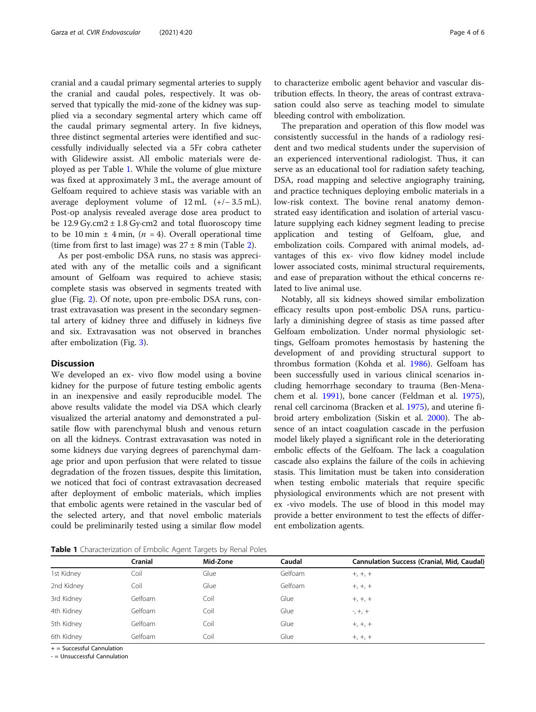cranial and a caudal primary segmental arteries to supply the cranial and caudal poles, respectively. It was observed that typically the mid-zone of the kidney was supplied via a secondary segmental artery which came off the caudal primary segmental artery. In five kidneys, three distinct segmental arteries were identified and successfully individually selected via a 5Fr cobra catheter with Glidewire assist. All embolic materials were deployed as per Table 1. While the volume of glue mixture was fixed at approximately 3 mL, the average amount of Gelfoam required to achieve stasis was variable with an average deployment volume of 12 mL (+/− 3.5 mL). Post-op analysis revealed average dose area product to be 12.9 Gy.cm2  $\pm$  1.8 Gy·cm2 and total fluoroscopy time to be 10 min  $\pm$  4 min, (*n* = 4). Overall operational time (time from first to last image) was  $27 \pm 8$  min (Table [2\)](#page-4-0).

As per post-embolic DSA runs, no stasis was appreciated with any of the metallic coils and a significant amount of Gelfoam was required to achieve stasis; complete stasis was observed in segments treated with glue (Fig. [2\)](#page-2-0). Of note, upon pre-embolic DSA runs, contrast extravasation was present in the secondary segmental artery of kidney three and diffusely in kidneys five and six. Extravasation was not observed in branches after embolization (Fig. [3](#page-4-0)).

#### **Discussion**

We developed an ex- vivo flow model using a bovine kidney for the purpose of future testing embolic agents in an inexpensive and easily reproducible model. The above results validate the model via DSA which clearly visualized the arterial anatomy and demonstrated a pulsatile flow with parenchymal blush and venous return on all the kidneys. Contrast extravasation was noted in some kidneys due varying degrees of parenchymal damage prior and upon perfusion that were related to tissue degradation of the frozen tissues, despite this limitation, we noticed that foci of contrast extravasation decreased after deployment of embolic materials, which implies that embolic agents were retained in the vascular bed of the selected artery, and that novel embolic materials could be preliminarily tested using a similar flow model to characterize embolic agent behavior and vascular distribution effects. In theory, the areas of contrast extravasation could also serve as teaching model to simulate bleeding control with embolization.

The preparation and operation of this flow model was consistently successful in the hands of a radiology resident and two medical students under the supervision of an experienced interventional radiologist. Thus, it can serve as an educational tool for radiation safety teaching, DSA, road mapping and selective angiography training, and practice techniques deploying embolic materials in a low-risk context. The bovine renal anatomy demonstrated easy identification and isolation of arterial vasculature supplying each kidney segment leading to precise application and testing of Gelfoam, glue, and embolization coils. Compared with animal models, advantages of this ex- vivo flow kidney model include lower associated costs, minimal structural requirements, and ease of preparation without the ethical concerns related to live animal use.

Notably, all six kidneys showed similar embolization efficacy results upon post-embolic DSA runs, particularly a diminishing degree of stasis as time passed after Gelfoam embolization. Under normal physiologic settings, Gelfoam promotes hemostasis by hastening the development of and providing structural support to thrombus formation (Kohda et al. [1986](#page-5-0)). Gelfoam has been successfully used in various clinical scenarios including hemorrhage secondary to trauma (Ben-Menachem et al. [1991\)](#page-5-0), bone cancer (Feldman et al. [1975](#page-5-0)), renal cell carcinoma (Bracken et al. [1975\)](#page-5-0), and uterine fibroid artery embolization (Siskin et al. [2000\)](#page-5-0). The absence of an intact coagulation cascade in the perfusion model likely played a significant role in the deteriorating embolic effects of the Gelfoam. The lack a coagulation cascade also explains the failure of the coils in achieving stasis. This limitation must be taken into consideration when testing embolic materials that require specific physiological environments which are not present with ex -vivo models. The use of blood in this model may provide a better environment to test the effects of different embolization agents.

Table 1 Characterization of Embolic Agent Targets by Renal Poles

|            | Cranial | Mid-Zone | Caudal  | <b>Cannulation Success (Cranial, Mid, Caudal)</b> |
|------------|---------|----------|---------|---------------------------------------------------|
| 1st Kidney | Coil    | Glue     | Gelfoam | $+, +, +$                                         |
| 2nd Kidney | Coil    | Glue     | Gelfoam | $+, +, +$                                         |
| 3rd Kidney | Gelfoam | Coil     | Glue    | $+, +, +$                                         |
| 4th Kidney | Gelfoam | Coil     | Glue    | $-,+,+$                                           |
| 5th Kidney | Gelfoam | Coil     | Glue    | $+, +, +$                                         |
| 6th Kidney | Gelfoam | Coil     | Glue    | $+, +, +$                                         |
|            |         |          |         |                                                   |

 $+$  = Successful Cannulation

- = Unsuccessful Cannulation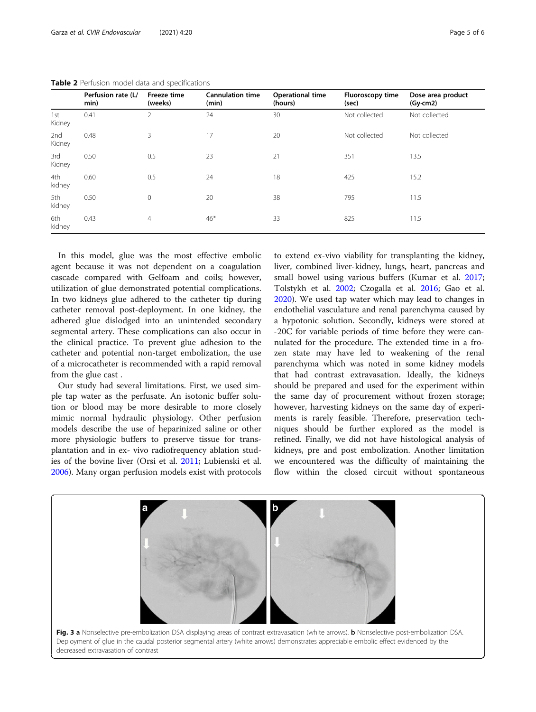|               | Perfusion rate (L/<br>min) | Freeze time<br>(weeks) | <b>Cannulation time</b><br>(min) | <b>Operational time</b><br>(hours) | Fluoroscopy time<br>(sec) | Dose area product<br>$(Gy-cm2)$ |
|---------------|----------------------------|------------------------|----------------------------------|------------------------------------|---------------------------|---------------------------------|
| 1st<br>Kidney | 0.41                       | 2                      | 24                               | 30                                 | Not collected             | Not collected                   |
| 2nd<br>Kidney | 0.48                       | 3                      | 17                               | 20                                 | Not collected             | Not collected                   |
| 3rd<br>Kidney | 0.50                       | 0.5                    | 23                               | 21                                 | 351                       | 13.5                            |
| 4th<br>kidney | 0.60                       | 0.5                    | 24                               | 18                                 | 425                       | 15.2                            |
| 5th<br>kidney | 0.50                       | $\mathbf{0}$           | 20                               | 38                                 | 795                       | 11.5                            |
| 6th<br>kidney | 0.43                       | $\overline{4}$         | $46*$                            | 33                                 | 825                       | 11.5                            |

<span id="page-4-0"></span>Table 2 Perfusion model data and specifications

In this model, glue was the most effective embolic agent because it was not dependent on a coagulation cascade compared with Gelfoam and coils; however, utilization of glue demonstrated potential complications. In two kidneys glue adhered to the catheter tip during catheter removal post-deployment. In one kidney, the adhered glue dislodged into an unintended secondary segmental artery. These complications can also occur in the clinical practice. To prevent glue adhesion to the catheter and potential non-target embolization, the use of a microcatheter is recommended with a rapid removal from the glue cast .

Our study had several limitations. First, we used simple tap water as the perfusate. An isotonic buffer solution or blood may be more desirable to more closely mimic normal hydraulic physiology. Other perfusion models describe the use of heparinized saline or other more physiologic buffers to preserve tissue for transplantation and in ex- vivo radiofrequency ablation studies of the bovine liver (Orsi et al. [2011;](#page-5-0) Lubienski et al. [2006](#page-5-0)). Many organ perfusion models exist with protocols

to extend ex-vivo viability for transplanting the kidney, liver, combined liver-kidney, lungs, heart, pancreas and small bowel using various buffers (Kumar et al. [2017](#page-5-0); Tolstykh et al. [2002;](#page-5-0) Czogalla et al. [2016](#page-5-0); Gao et al. [2020](#page-5-0)). We used tap water which may lead to changes in endothelial vasculature and renal parenchyma caused by a hypotonic solution. Secondly, kidneys were stored at -20C for variable periods of time before they were cannulated for the procedure. The extended time in a frozen state may have led to weakening of the renal parenchyma which was noted in some kidney models that had contrast extravasation. Ideally, the kidneys should be prepared and used for the experiment within the same day of procurement without frozen storage; however, harvesting kidneys on the same day of experiments is rarely feasible. Therefore, preservation techniques should be further explored as the model is refined. Finally, we did not have histological analysis of kidneys, pre and post embolization. Another limitation we encountered was the difficulty of maintaining the flow within the closed circuit without spontaneous